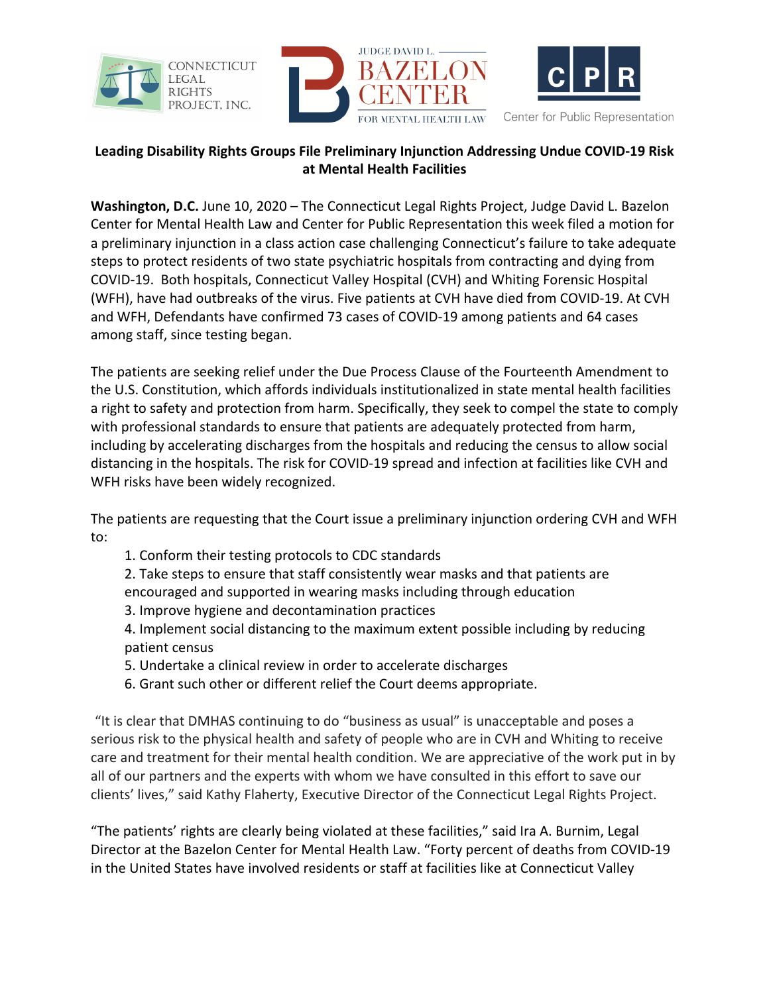





Center for Public Representation

## **Leading Disability Rights Groups File Preliminary Injunction Addressing Undue COVID-19 Risk at Mental Health Facilities**

**Washington, D.C.** June 10, 2020 – The Connecticut Legal Rights Project, Judge David L. Bazelon Center for Mental Health Law and Center for Public Representation this week filed a motion for a preliminary injunction in a class action case challenging Connecticut's failure to take adequate steps to protect residents of two state psychiatric hospitals from contracting and dying from COVID-19. Both hospitals, Connecticut Valley Hospital (CVH) and Whiting Forensic Hospital (WFH), have had outbreaks of the virus. Five patients at CVH have died from COVID-19. At CVH and WFH, Defendants have confirmed 73 cases of COVID-19 among patients and 64 cases among staff, since testing began.

The patients are seeking relief under the Due Process Clause of the Fourteenth Amendment to the U.S. Constitution, which affords individuals institutionalized in state mental health facilities a right to safety and protection from harm. Specifically, they seek to compel the state to comply with professional standards to ensure that patients are adequately protected from harm, including by accelerating discharges from the hospitals and reducing the census to allow social distancing in the hospitals. The risk for COVID-19 spread and infection at facilities like CVH and WFH risks have been widely recognized.

The patients are requesting that the Court issue a preliminary injunction ordering CVH and WFH to:

1. Conform their testing protocols to CDC standards

2. Take steps to ensure that staff consistently wear masks and that patients are encouraged and supported in wearing masks including through education

3. Improve hygiene and decontamination practices

4. Implement social distancing to the maximum extent possible including by reducing patient census

- 5. Undertake a clinical review in order to accelerate discharges
- 6. Grant such other or different relief the Court deems appropriate.

"It is clear that DMHAS continuing to do "business as usual" is unacceptable and poses a serious risk to the physical health and safety of people who are in CVH and Whiting to receive care and treatment for their mental health condition. We are appreciative of the work put in by all of our partners and the experts with whom we have consulted in this effort to save our clients' lives," said Kathy Flaherty, Executive Director of the Connecticut Legal Rights Project.

"The patients' rights are clearly being violated at these facilities," said Ira A. Burnim, Legal Director at the Bazelon Center for Mental Health Law. "Forty percent of deaths from COVID-19 in the United States have involved residents or staff at facilities like at Connecticut Valley